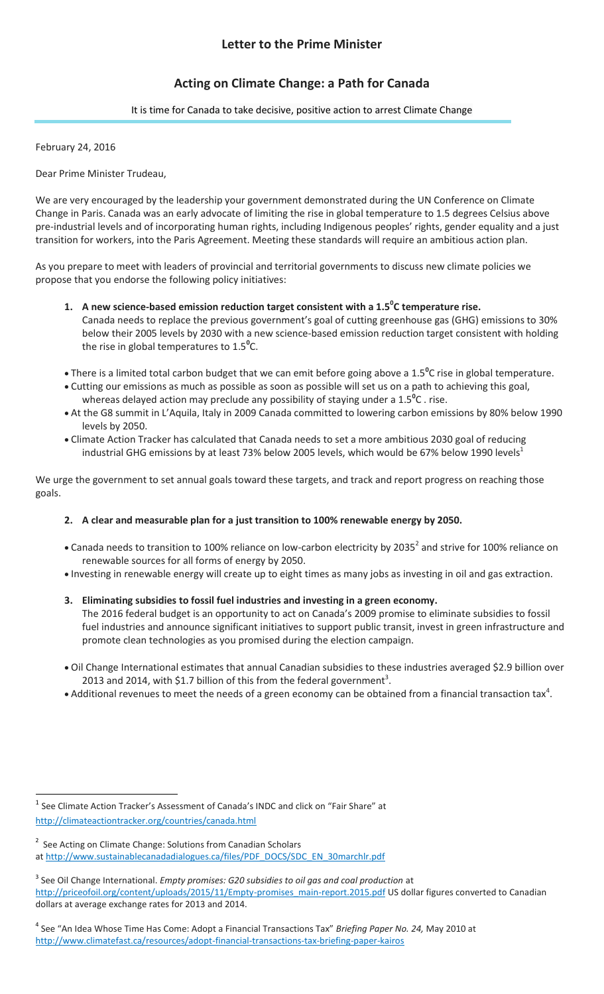# **Letter to the Prime Minister**

# **Acting on Climate Change: a Path for Canada**

#### It is time for Canada to take decisive, positive action to arrest Climate Change

February 24, 2016

 $\overline{\phantom{a}}$ 

Dear Prime Minister Trudeau,

We are very encouraged by the leadership your government demonstrated during the UN Conference on Climate Change in Paris. Canada was an early advocate of limiting the rise in global temperature to 1.5 degrees Celsius above pre-industrial levels and of incorporating human rights, including Indigenous peoples' rights, gender equality and a just transition for workers, into the Paris Agreement. Meeting these standards will require an ambitious action plan.

As you prepare to meet with leaders of provincial and territorial governments to discuss new climate policies we propose that you endorse the following policy initiatives:

- **1. A new science-based emission reduction target consistent with a 1.5<sup>0</sup> C temperature rise.** Canada needs to replace the previous government's goal of cutting greenhouse gas (GHG) emissions to 30% below their 2005 levels by 2030 with a new science-based emission reduction target consistent with holding the rise in global temperatures to 1.5**<sup>0</sup>** C.
- There is a limited total carbon budget that we can emit before going above a 1.5**<sup>0</sup>** C rise in global temperature.
- Cutting our emissions as much as possible as soon as possible will set us on a path to achieving this goal, whereas delayed action may preclude any possibility of staying under a 1.5**<sup>0</sup>** C . rise.
- At the G8 summit in L'Aquila, Italy in 2009 Canada committed to lowering carbon emissions by 80% below 1990 levels by 2050.
- Climate Action Tracker has calculated that Canada needs to set a more ambitious 2030 goal of reducing industrial GHG emissions by at least 73% below 2005 levels, which would be 67% below 1990 levels<sup>1</sup>

We urge the government to set annual goals toward these targets, and track and report progress on reaching those goals.

## **2. A clear and measurable plan for a just transition to 100% renewable energy by 2050.**

- Canada needs to transition to 100% reliance on low-carbon electricity by 2035<sup>2</sup> and strive for 100% reliance on renewable sources for all forms of energy by 2050.
- Investing in renewable energy will create up to eight times as many jobs as investing in oil and gas extraction.
- **3. Eliminating subsidies to fossil fuel industries and investing in a green economy.**

The 2016 federal budget is an opportunity to act on Canada's 2009 promise to eliminate subsidies to fossil fuel industries and announce significant initiatives to support public transit, invest in green infrastructure and promote clean technologies as you promised during the election campaign.

- Oil Change International estimates that annual Canadian subsidies to these industries averaged \$2.9 billion over 2013 and 2014, with \$1.7 billion of this from the federal government<sup>3</sup>.
- Additional revenues to meet the needs of a green economy can be obtained from a financial transaction tax<sup>4</sup>.

<sup>&</sup>lt;sup>1</sup> See Climate Action Tracker's Assessment of Canada's INDC and click on "Fair Share" at [http://climateactiontracker.org/countries/canada.html](http://facebook.us10.list-manage.com/track/click?u=42e5b08c2c7b7160835114c88&id=44ab408cda&e=3cc0f2e7b9)

<sup>&</sup>lt;sup>2</sup> See Acting on Climate Change: Solutions from Canadian Scholars at [http://www.sustainablecanadadialogues.ca/files/PDF\\_DOCS/SDC\\_EN\\_30marchlr.pdf](http://facebook.us10.list-manage2.com/track/click?u=42e5b08c2c7b7160835114c88&id=637fa75055&e=cf495b40d7)

<sup>3</sup> See Oil Change International. *Empty promises: G20 subsidies to oil gas and coal production* at [http://priceofoil.org/content/uploads/2015/11/Empty-promises\\_main-report.2015.pdf](http://facebook.us10.list-manage1.com/track/click?u=42e5b08c2c7b7160835114c88&id=0ee178dea9&e=3cc0f2e7b9) US dollar figures converted to Canadian dollars at average exchange rates for 2013 and 2014.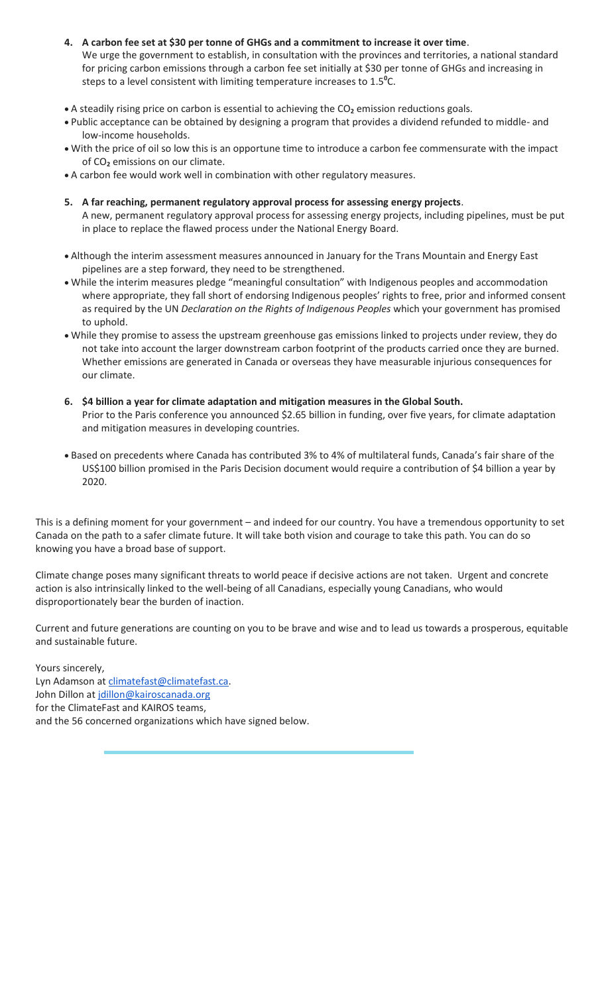- **4. A carbon fee set at \$30 per tonne of GHGs and a commitment to increase it over time**. We urge the government to establish, in consultation with the provinces and territories, a national standard for pricing carbon emissions through a carbon fee set initially at \$30 per tonne of GHGs and increasing in steps to a level consistent with limiting temperature increases to 1.5**<sup>0</sup>** C.
- A steadily rising price on carbon is essential to achieving the CO**<sup>2</sup>** emission reductions goals.
- Public acceptance can be obtained by designing a program that provides a dividend refunded to middle- and low-income households.
- With the price of oil so low this is an opportune time to introduce a carbon fee commensurate with the impact of CO**<sup>2</sup>** emissions on our climate.
- A carbon fee would work well in combination with other regulatory measures.
- **5. A far reaching, permanent regulatory approval process for assessing energy projects**. A new, permanent regulatory approval process for assessing energy projects, including pipelines, must be put in place to replace the flawed process under the National Energy Board.
- Although the interim assessment measures announced in January for the Trans Mountain and Energy East pipelines are a step forward, they need to be strengthened.
- While the interim measures pledge "meaningful consultation" with Indigenous peoples and accommodation where appropriate, they fall short of endorsing Indigenous peoples' rights to free, prior and informed consent as required by the UN *Declaration on the Rights of Indigenous Peoples* which your government has promised to uphold.
- While they promise to assess the upstream greenhouse gas emissions linked to projects under review, they do not take into account the larger downstream carbon footprint of the products carried once they are burned. Whether emissions are generated in Canada or overseas they have measurable injurious consequences for our climate.
- **6. \$4 billion a year for climate adaptation and mitigation measures in the Global South.** Prior to the Paris conference you announced \$2.65 billion in funding, over five years, for climate adaptation and mitigation measures in developing countries.
- Based on precedents where Canada has contributed 3% to 4% of multilateral funds, Canada's fair share of the US\$100 billion promised in the Paris Decision document would require a contribution of \$4 billion a year by 2020.

This is a defining moment for your government – and indeed for our country. You have a tremendous opportunity to set Canada on the path to a safer climate future. It will take both vision and courage to take this path. You can do so knowing you have a broad base of support.

Climate change poses many significant threats to world peace if decisive actions are not taken. Urgent and concrete action is also intrinsically linked to the well-being of all Canadians, especially young Canadians, who would disproportionately bear the burden of inaction.

Current and future generations are counting on you to be brave and wise and to lead us towards a prosperous, equitable and sustainable future.

Yours sincerely, Lyn Adamson at [climatefast@climatefast.ca.](mailto:climatefast@climatefast.ca) John Dillon at [jdillon@kairoscanada.org](mailto:jdillon@kairoscanada.org) for the ClimateFast and KAIROS teams, and the 56 concerned organizations which have signed below.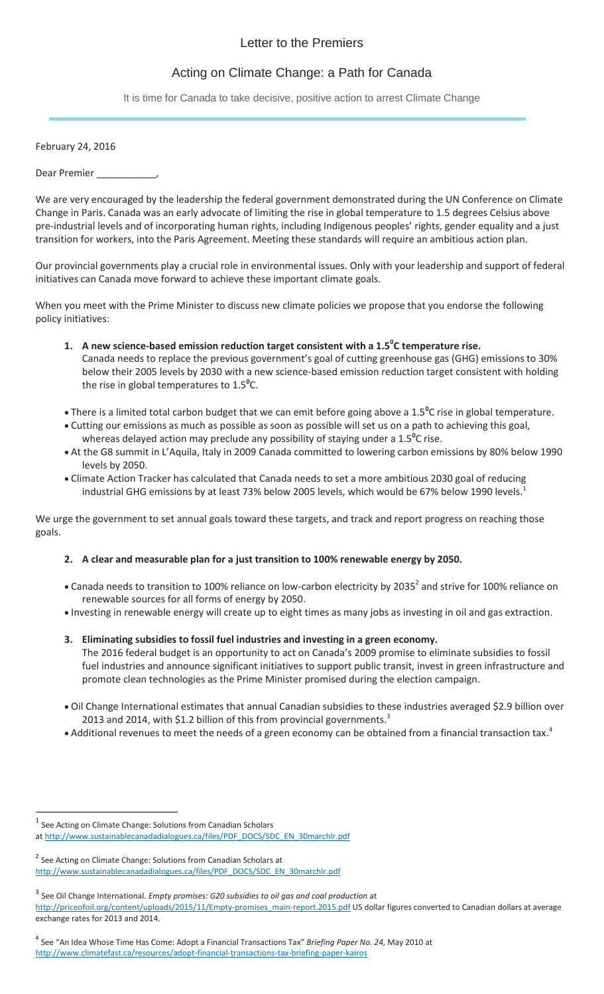## Letter to the Premiers

# Acting on Climate Change: a Path for Canada

It is time for Canada to take decisive, positive action to arrest Climate Change

February 24, 2016

Dear Premier

We are very encouraged by the leadership the federal government demonstrated during the UN Conference on Climate Change in Paris. Canada was an early advocate of limiting the rise in global temperature to 1.5 degrees Celsius above pre-industrial levels and of incorporating human rights, including Indigenous peoples' rights, gender equality and a just transition for workers, into the Paris Agreement. Meeting these standards will require an ambitious action plan.

Our provincial governments play a crucial role in environmental issues. Only with your leadership and support of federal initiatives can Canada move forward to achieve these important climate goals.

When you meet with the Prime Minister to discuss new climate policies we propose that you endorse the following policy initiatives:

- **1. A new science-based emission reduction target consistent with a 1.5<sup>0</sup> C temperature rise.** Canada needs to replace the previous government's goal of cutting greenhouse gas (GHG) emissions to 30% below their 2005 levels by 2030 with a new science-based emission reduction target consistent with holding the rise in global temperatures to 1.5**<sup>0</sup>** C.
- There is a limited total carbon budget that we can emit before going above a 1.5**<sup>0</sup>** C rise in global temperature.
- Cutting our emissions as much as possible as soon as possible will set us on a path to achieving this goal, whereas delayed action may preclude any possibility of staying under a 1.5**<sup>0</sup>** C rise.
- At the G8 summit in L'Aquila, Italy in 2009 Canada committed to lowering carbon emissions by 80% below 1990 levels by 2050.
- Climate Action Tracker has calculated that Canada needs to set a more ambitious 2030 goal of reducing industrial GHG emissions by at least 73% below 2005 levels, which would be 67% below 1990 levels.<sup>1</sup>

We urge the government to set annual goals toward these targets, and track and report progress on reaching those goals.

## **2. A clear and measurable plan for a just transition to 100% renewable energy by 2050.**

- Canada needs to transition to 100% reliance on low-carbon electricity by 2035<sup>2</sup> and strive for 100% reliance on renewable sources for all forms of energy by 2050.
- Investing in renewable energy will create up to eight times as many jobs as investing in oil and gas extraction.
- **3. Eliminating subsidies to fossil fuel industries and investing in a green economy.** The 2016 federal budget is an opportunity to act on Canada's 2009 promise to eliminate subsidies to fossil fuel industries and announce significant initiatives to support public transit, invest in green infrastructure and promote clean technologies as the Prime Minister promised during the election campaign.
- Oil Change International estimates that annual Canadian subsidies to these industries averaged \$2.9 billion over 2013 and 2014, with \$1.2 billion of this from provincial governments. $^3$
- Additional revenues to meet the needs of a green economy can be obtained from a financial transaction tax.<sup>4</sup>

 $\overline{\phantom{a}}$ 

<sup>&</sup>lt;sup>1</sup> See Acting on Climate Change: Solutions from Canadian Scholars

at [http://www.sustainablecanadadialogues.ca/files/PDF\\_DOCS/SDC\\_EN\\_30marchlr.pdf](http://facebook.us10.list-manage2.com/track/click?u=42e5b08c2c7b7160835114c88&id=4d0e03d24e&e=3cc0f2e7b9)

<sup>&</sup>lt;sup>2</sup> See Acting on Climate Change: Solutions from Canadian Scholars at [http://www.sustainablecanadadialogues.ca/files/PDF\\_DOCS/SDC\\_EN\\_30marchlr.pdf](http://facebook.us10.list-manage2.com/track/click?u=42e5b08c2c7b7160835114c88&id=637fa75055&e=cf495b40d7)

<sup>3</sup> See Oil Change International. *Empty promises: G20 subsidies to oil gas and coal production* at [http://priceofoil.org/content/uploads/2015/11/Empty-promises\\_main-report.2015.pdf](http://facebook.us10.list-manage1.com/track/click?u=42e5b08c2c7b7160835114c88&id=0ee178dea9&e=3cc0f2e7b9) US dollar figures converted to Canadian dollars at average

exchange rates for 2013 and 2014.

<sup>4</sup> See "An Idea Whose Time Has Come: Adopt a Financial Transactions Tax" *Briefing Paper No. 24,* May 2010 at [http://www.climatefast.ca/resources/adopt-financial-transactions-tax-briefing-paper-kairos](http://facebook.us10.list-manage.com/track/click?u=42e5b08c2c7b7160835114c88&id=dbd49c65d9&e=cf495b40d7)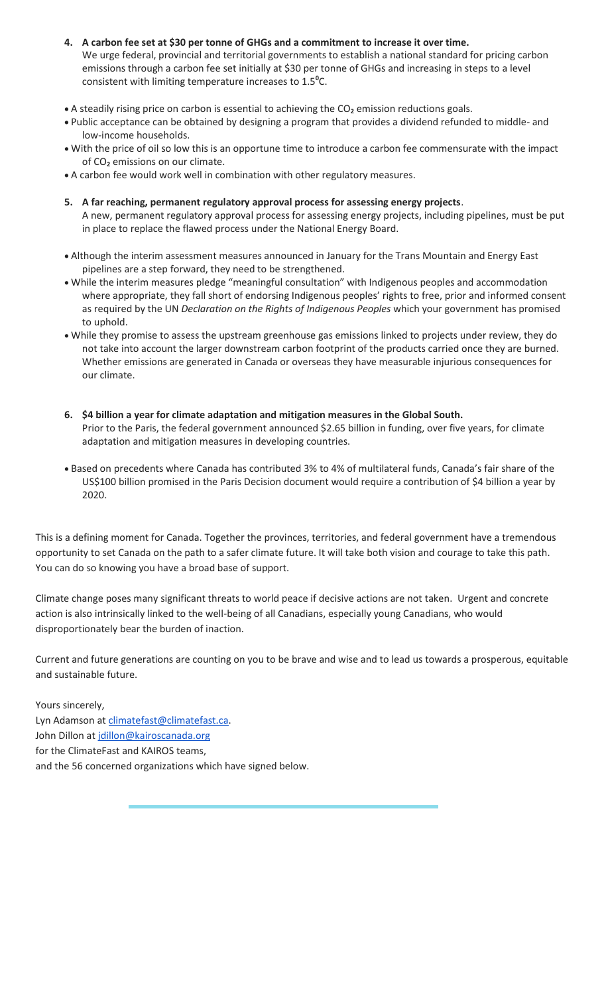- **4. A carbon fee set at \$30 per tonne of GHGs and a commitment to increase it over time.** We urge federal, provincial and territorial governments to establish a national standard for pricing carbon emissions through a carbon fee set initially at \$30 per tonne of GHGs and increasing in steps to a level consistent with limiting temperature increases to 1.5**<sup>0</sup>** C.
- A steadily rising price on carbon is essential to achieving the CO**<sup>2</sup>** emission reductions goals.
- Public acceptance can be obtained by designing a program that provides a dividend refunded to middle- and low-income households.
- With the price of oil so low this is an opportune time to introduce a carbon fee commensurate with the impact of CO**<sup>2</sup>** emissions on our climate.
- A carbon fee would work well in combination with other regulatory measures.
- **5. A far reaching, permanent regulatory approval process for assessing energy projects**. A new, permanent regulatory approval process for assessing energy projects, including pipelines, must be put in place to replace the flawed process under the National Energy Board.
- Although the interim assessment measures announced in January for the Trans Mountain and Energy East pipelines are a step forward, they need to be strengthened.
- While the interim measures pledge "meaningful consultation" with Indigenous peoples and accommodation where appropriate, they fall short of endorsing Indigenous peoples' rights to free, prior and informed consent as required by the UN *Declaration on the Rights of Indigenous Peoples* which your government has promised to uphold.
- While they promise to assess the upstream greenhouse gas emissions linked to projects under review, they do not take into account the larger downstream carbon footprint of the products carried once they are burned. Whether emissions are generated in Canada or overseas they have measurable injurious consequences for our climate.
- **6. \$4 billion a year for climate adaptation and mitigation measures in the Global South.** Prior to the Paris, the federal government announced \$2.65 billion in funding, over five years, for climate adaptation and mitigation measures in developing countries.
- Based on precedents where Canada has contributed 3% to 4% of multilateral funds, Canada's fair share of the US\$100 billion promised in the Paris Decision document would require a contribution of \$4 billion a year by 2020.

This is a defining moment for Canada. Together the provinces, territories, and federal government have a tremendous opportunity to set Canada on the path to a safer climate future. It will take both vision and courage to take this path. You can do so knowing you have a broad base of support.

Climate change poses many significant threats to world peace if decisive actions are not taken. Urgent and concrete action is also intrinsically linked to the well-being of all Canadians, especially young Canadians, who would disproportionately bear the burden of inaction.

Current and future generations are counting on you to be brave and wise and to lead us towards a prosperous, equitable and sustainable future.

Yours sincerely, Lyn Adamson at [climatefast@climatefast.ca.](mailto:climatefast@climatefast.ca) John Dillon at [jdillon@kairoscanada.org](mailto:jdillon@kairoscanada.org) for the ClimateFast and KAIROS teams, and the 56 concerned organizations which have signed below.